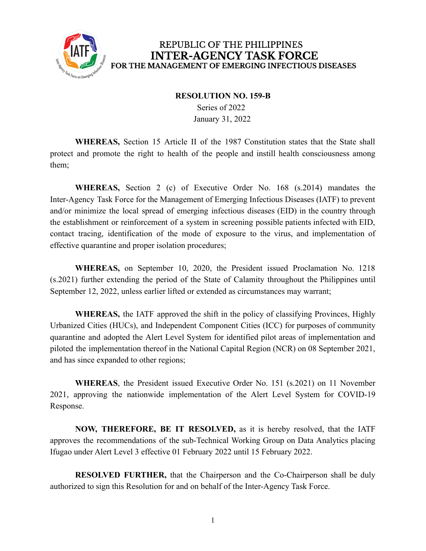

## REPUBLIC OF THE PHILIPPINES **INTER-AGENCY TASK FORCE** FOR THE MANAGEMENT OF EMERGING INFECTIOUS DISEASES

## **RESOLUTION NO. 159-B**

Series of 2022 January 31, 2022

**WHEREAS,** Section 15 Article II of the 1987 Constitution states that the State shall protect and promote the right to health of the people and instill health consciousness among them;

**WHEREAS,** Section 2 (c) of Executive Order No. 168 (s.2014) mandates the Inter-Agency Task Force for the Management of Emerging Infectious Diseases (IATF) to prevent and/or minimize the local spread of emerging infectious diseases (EID) in the country through the establishment or reinforcement of a system in screening possible patients infected with EID, contact tracing, identification of the mode of exposure to the virus, and implementation of effective quarantine and proper isolation procedures;

**WHEREAS,** on September 10, 2020, the President issued Proclamation No. 1218 (s.2021) further extending the period of the State of Calamity throughout the Philippines until September 12, 2022, unless earlier lifted or extended as circumstances may warrant;

**WHEREAS,** the IATF approved the shift in the policy of classifying Provinces, Highly Urbanized Cities (HUCs), and Independent Component Cities (ICC) for purposes of community quarantine and adopted the Alert Level System for identified pilot areas of implementation and piloted the implementation thereof in the National Capital Region (NCR) on 08 September 2021, and has since expanded to other regions;

**WHEREAS**, the President issued Executive Order No. 151 (s.2021) on 11 November 2021, approving the nationwide implementation of the Alert Level System for COVID-19 Response.

**NOW, THEREFORE, BE IT RESOLVED,** as it is hereby resolved, that the IATF approves the recommendations of the sub-Technical Working Group on Data Analytics placing Ifugao under Alert Level 3 effective 01 February 2022 until 15 February 2022.

**RESOLVED FURTHER,** that the Chairperson and the Co-Chairperson shall be duly authorized to sign this Resolution for and on behalf of the Inter-Agency Task Force.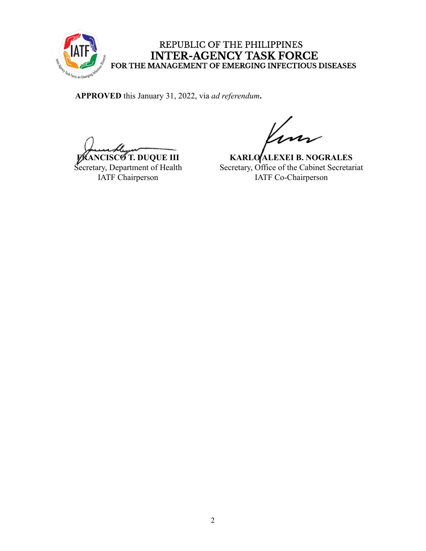

## REPUBLIC OF THE PHILIPPINES INTER-AGENCY TASK FORCE<br>FOR THE MANAGEMENT OF EMERGING INFECTIOUS DISEASES

**APPROVED** this January 31, 2022, via *ad referendum***.**

**FRANCISCO T. DUQUE III** Secretary, Department of Health IATF Chairperson

**KARLO ALEXEI B. NOGRALES** Secretary, Office of the Cabinet Secretariat IATF Co-Chairperson